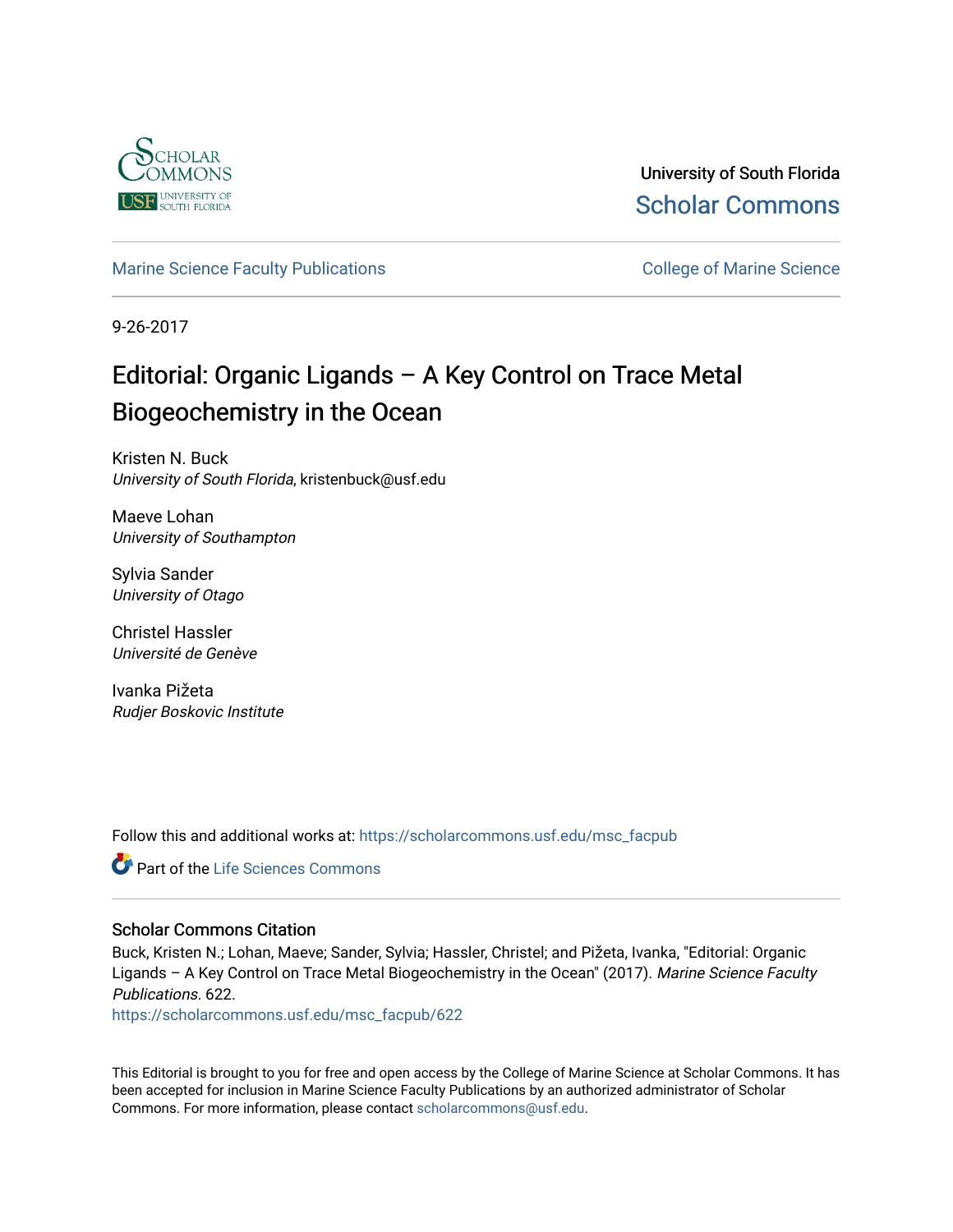

University of South Florida [Scholar Commons](https://scholarcommons.usf.edu/) 

## [Marine Science Faculty Publications](https://scholarcommons.usf.edu/msc_facpub) **College of Marine Science** College of Marine Science

9-26-2017

## Editorial: Organic Ligands – A Key Control on Trace Metal Biogeochemistry in the Ocean

Kristen N. Buck University of South Florida, kristenbuck@usf.edu

Maeve Lohan University of Southampton

Sylvia Sander University of Otago

Christel Hassler Université de Genève

Ivanka Pižeta Rudjer Boskovic Institute

Follow this and additional works at: [https://scholarcommons.usf.edu/msc\\_facpub](https://scholarcommons.usf.edu/msc_facpub?utm_source=scholarcommons.usf.edu%2Fmsc_facpub%2F622&utm_medium=PDF&utm_campaign=PDFCoverPages)

Part of the [Life Sciences Commons](http://network.bepress.com/hgg/discipline/1016?utm_source=scholarcommons.usf.edu%2Fmsc_facpub%2F622&utm_medium=PDF&utm_campaign=PDFCoverPages) 

### Scholar Commons Citation

Buck, Kristen N.; Lohan, Maeve; Sander, Sylvia; Hassler, Christel; and Pižeta, Ivanka, "Editorial: Organic Ligands - A Key Control on Trace Metal Biogeochemistry in the Ocean" (2017). Marine Science Faculty Publications. 622.

[https://scholarcommons.usf.edu/msc\\_facpub/622](https://scholarcommons.usf.edu/msc_facpub/622?utm_source=scholarcommons.usf.edu%2Fmsc_facpub%2F622&utm_medium=PDF&utm_campaign=PDFCoverPages)

This Editorial is brought to you for free and open access by the College of Marine Science at Scholar Commons. It has been accepted for inclusion in Marine Science Faculty Publications by an authorized administrator of Scholar Commons. For more information, please contact [scholarcommons@usf.edu.](mailto:scholarcommons@usf.edu)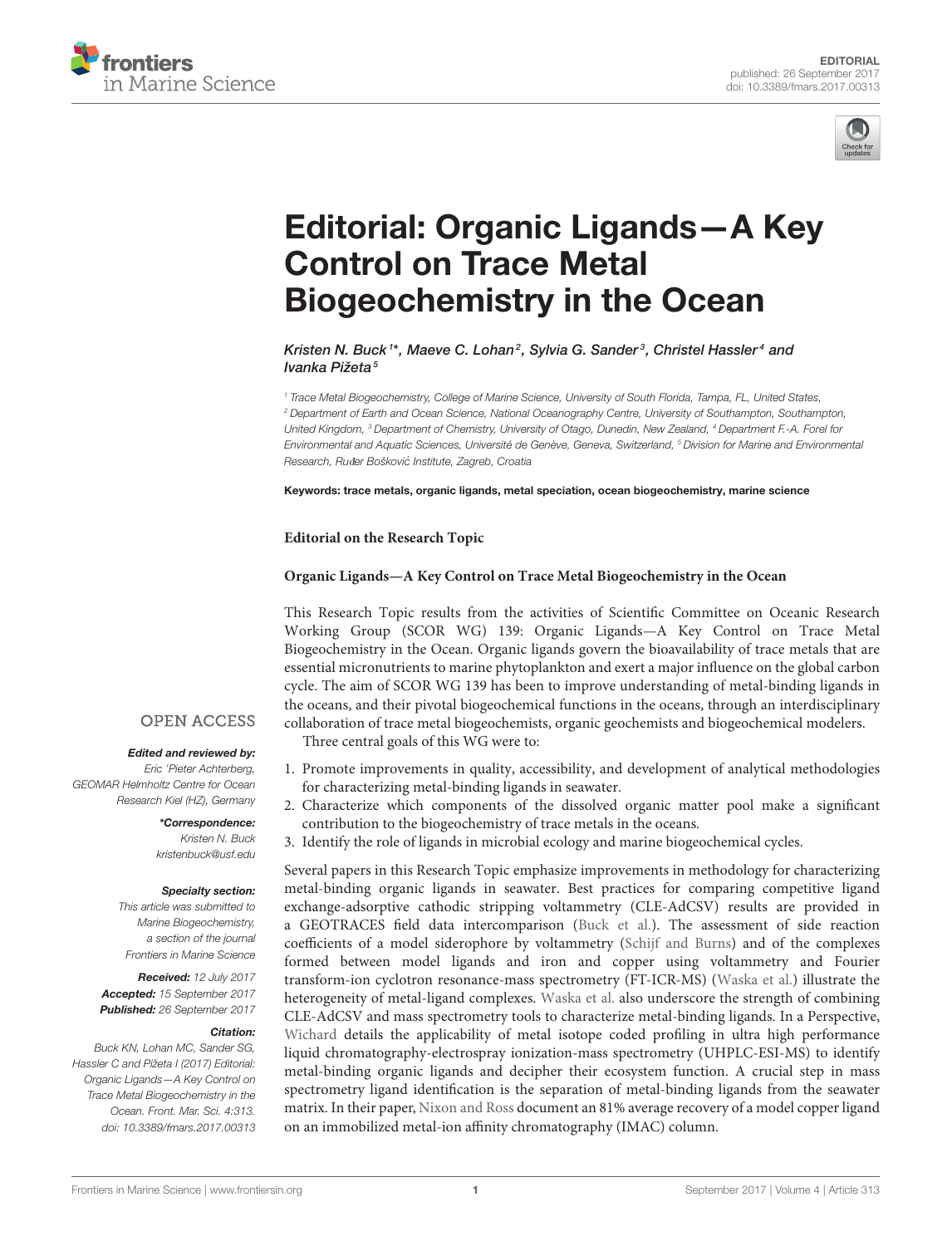



# [Editorial: Organic Ligands—A Key](http://journal.frontiersin.org/article/10.3389/fmars.2017.00313/full) Control on Trace Metal Biogeochemistry in the Ocean

[Kristen N. Buck](http://loop.frontiersin.org/people/45870/overview)<sup>1\*</sup>, [Maeve C. Lohan](http://loop.frontiersin.org/people/132986/overview)<sup>2</sup>, [Sylvia G. Sander](http://loop.frontiersin.org/people/114037/overview)<sup>3</sup>, [Christel Hassler](http://loop.frontiersin.org/people/31304/overview)<sup>4</sup> and [Ivanka Pižeta](http://loop.frontiersin.org/people/224786/overview)<sup>5</sup>

<sup>1</sup> Trace Metal Biogeochemistry, College of Marine Science, University of South Florida, Tampa, FL, United States, <sup>2</sup> Department of Earth and Ocean Science, National Oceanography Centre, University of Southampton, Southampton, United Kingdom, <sup>3</sup> Department of Chemistry, University of Otago, Dunedin, New Zealand, <sup>4</sup> Department F.-A. Forel for Environmental and Aquatic Sciences, Université de Genève, Geneva, Switzerland, <sup>5</sup> Division for Marine and Environmental Research, Ruđer Bošković Institute, Zagreb, Croatia

Keywords: trace metals, organic ligands, metal speciation, ocean biogeochemistry, marine science

**Editorial on the Research Topic**

#### **[Organic Ligands—A Key Control on Trace Metal Biogeochemistry in the Ocean](http://journal.frontiersin.org/researchtopic/3981/organic-ligands---a-key-control-on-trace-metal-biogeochemistry-in-the-ocean)**

This Research Topic results from the activities of Scientific Committee on Oceanic Research Working Group (SCOR WG) 139: Organic Ligands—A Key Control on Trace Metal Biogeochemistry in the Ocean. Organic ligands govern the bioavailability of trace metals that are essential micronutrients to marine phytoplankton and exert a major influence on the global carbon cycle. The aim of SCOR WG 139 has been to improve understanding of metal-binding ligands in the oceans, and their pivotal biogeochemical functions in the oceans, through an interdisciplinary collaboration of trace metal biogeochemists, organic geochemists and biogeochemical modelers. Three central goals of this WG were to:

**OPEN ACCESS** 

#### Edited and reviewed by:

Eric 'Pieter Achterberg, GEOMAR Helmholtz Centre for Ocean Research Kiel (HZ), Germany

> \*Correspondence: Kristen N. Buck [kristenbuck@usf.edu](mailto:kristenbuck@usf.edu)

#### Specialty section:

This article was submitted to Marine Biogeochemistry, a section of the journal Frontiers in Marine Science

Received: 12 July 2017 Accepted: 15 September 2017 Published: 26 September 2017

#### Citation:

Buck KN, Lohan MC, Sander SG, Hassler C and Pižeta I (2017) Editorial: Organic Ligands—A Key Control on Trace Metal Biogeochemistry in the Ocean. Front. Mar. Sci. 4:313. doi: [10.3389/fmars.2017.00313](https://doi.org/10.3389/fmars.2017.00313)

- 1. Promote improvements in quality, accessibility, and development of analytical methodologies for characterizing metal-binding ligands in seawater.
- 2. Characterize which components of the dissolved organic matter pool make a significant contribution to the biogeochemistry of trace metals in the oceans.
- 3. Identify the role of ligands in microbial ecology and marine biogeochemical cycles.

Several papers in this Research Topic emphasize improvements in methodology for characterizing metal-binding organic ligands in seawater. Best practices for comparing competitive ligand exchange-adsorptive cathodic stripping voltammetry (CLE-AdCSV) results are provided in a GEOTRACES field data intercomparison [\(Buck et al.\)](https://doi.org/10.3389/fmars.2016.00262). The assessment of side reaction coefficients of a model siderophore by voltammetry [\(Schijf and Burns\)](https://doi.org/10.3389/fmars.2016.00117) and of the complexes formed between model ligands and iron and copper using voltammetry and Fourier transform-ion cyclotron resonance-mass spectrometry (FT-ICR-MS) [\(Waska et al.\)](https://doi.org/10.3389/fmars.2016.00119) illustrate the heterogeneity of metal-ligand complexes. [Waska et al.](https://doi.org/10.3389/fmars.2016.00119) also underscore the strength of combining CLE-AdCSV and mass spectrometry tools to characterize metal-binding ligands. In a Perspective, [Wichard](https://doi.org/10.3389/fmars.2016.00131) details the applicability of metal isotope coded profiling in ultra high performance liquid chromatography-electrospray ionization-mass spectrometry (UHPLC-ESI-MS) to identify metal-binding organic ligands and decipher their ecosystem function. A crucial step in mass spectrometry ligand identification is the separation of metal-binding ligands from the seawater matrix. In their paper, [Nixon and Ross](https://doi.org/10.3389/fmars.2016.00246) document an 81% average recovery of a model copper ligand on an immobilized metal-ion affinity chromatography (IMAC) column.